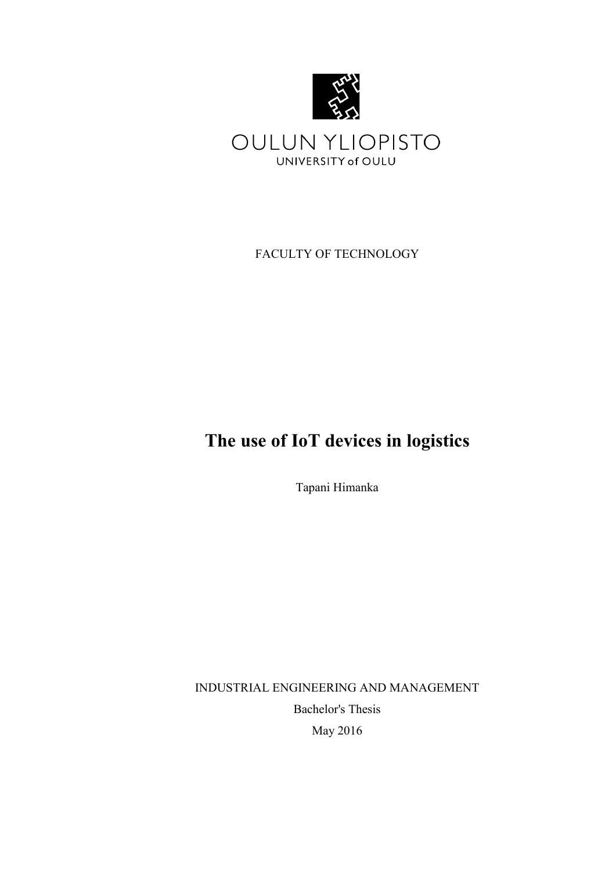

FACULTY OF TECHNOLOGY

# **The use of IoT devices in logistics**

Tapani Himanka

INDUSTRIAL ENGINEERING AND MANAGEMENT Bachelor's Thesis May 2016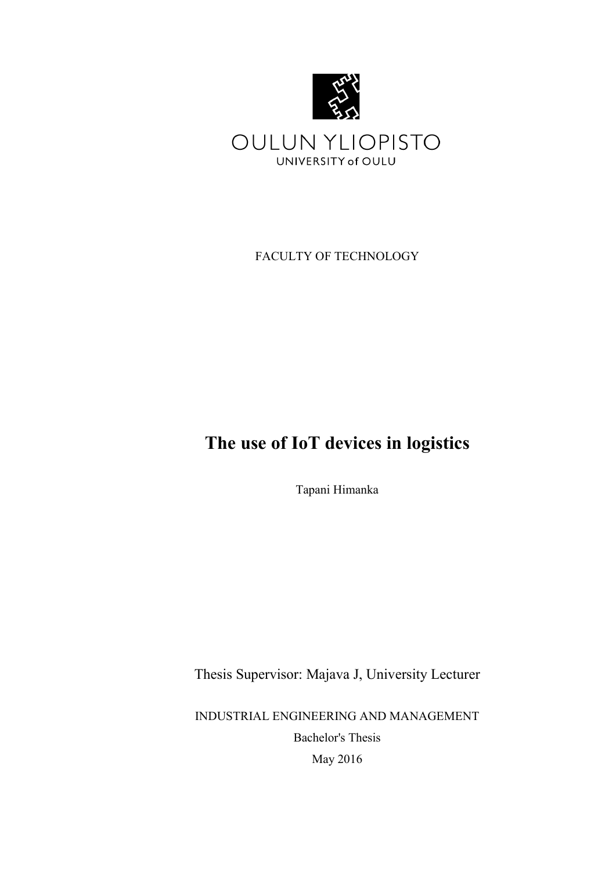

FACULTY OF TECHNOLOGY

# **The use of IoT devices in logistics**

Tapani Himanka

Thesis Supervisor: Majava J, University Lecturer

INDUSTRIAL ENGINEERING AND MANAGEMENT Bachelor's Thesis May 2016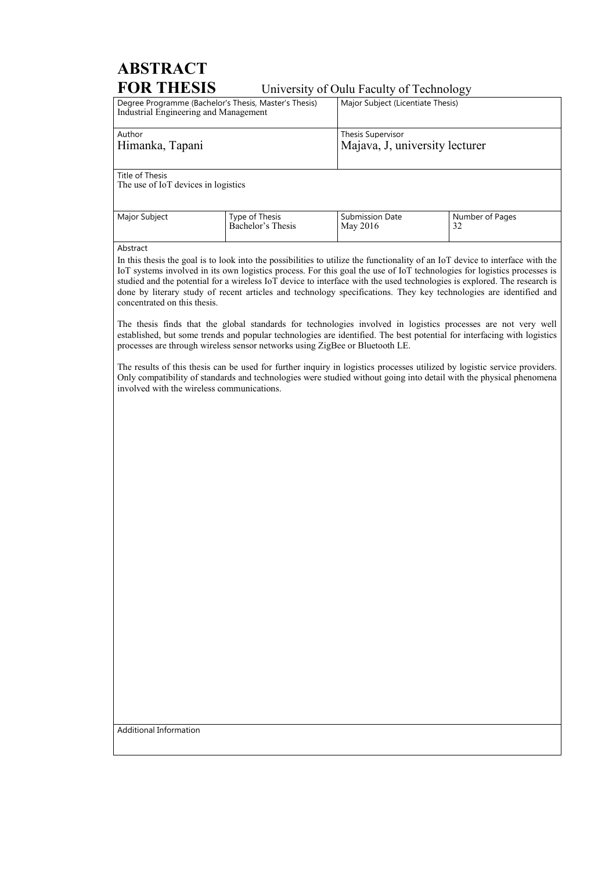# **ABSTRACT FOR THESIS** University of Oulu Faculty of Technology

| Degree Programme (Bachelor's Thesis, Master's Thesis)<br>Industrial Engineering and Management |                   | Major Subject (Licentiate Thesis) |                 |
|------------------------------------------------------------------------------------------------|-------------------|-----------------------------------|-----------------|
| Author                                                                                         |                   | <b>Thesis Supervisor</b>          |                 |
| Himanka, Tapani                                                                                |                   | Majava, J, university lecturer    |                 |
| Title of Thesis<br>The use of IoT devices in logistics                                         |                   |                                   |                 |
| Major Subject                                                                                  | Type of Thesis    | <b>Submission Date</b>            | Number of Pages |
|                                                                                                | Bachelor's Thesis | May 2016                          | 32              |

Abstract

In this thesis the goal is to look into the possibilities to utilize the functionality of an IoT device to interface with the IoT systems involved in its own logistics process. For this goal the use of IoT technologies for logistics processes is studied and the potential for a wireless IoT device to interface with the used technologies is explored. The research is done by literary study of recent articles and technology specifications. They key technologies are identified and concentrated on this thesis.

The thesis finds that the global standards for technologies involved in logistics processes are not very well established, but some trends and popular technologies are identified. The best potential for interfacing with logistics processes are through wireless sensor networks using ZigBee or Bluetooth LE.

The results of this thesis can be used for further inquiry in logistics processes utilized by logistic service providers. Only compatibility of standards and technologies were studied without going into detail with the physical phenomena involved with the wireless communications.

Additional Information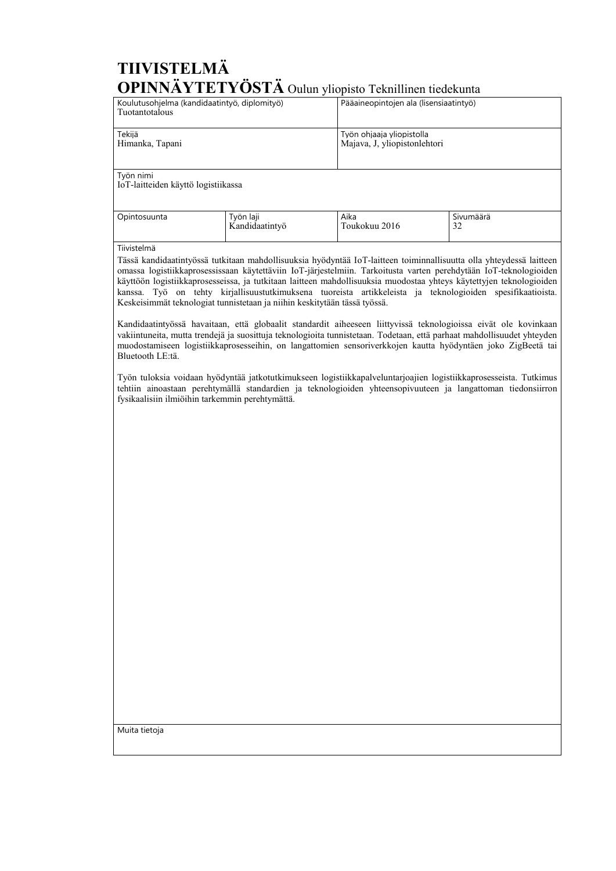# **TIIVISTELMÄ OPINNÄYTETYÖSTÄ** Oulun yliopisto Teknillinen tiedekunta

| Koulutusohjelma (kandidaatintyö, diplomityö)<br>Tuotantotalous |                             |                           | Pääaineopintojen ala (lisensiaatintyö) |  |
|----------------------------------------------------------------|-----------------------------|---------------------------|----------------------------------------|--|
| Tekijä<br>Himanka, Tapani                                      |                             | Työn ohjaaja yliopistolla | Majava, J, yliopistonlehtori           |  |
| Työn nimi<br>IoT-laitteiden käyttö logistiikassa               |                             |                           |                                        |  |
| Opintosuunta                                                   | Työn laji<br>Kandidaatintyö | Aika<br>Toukokuu 2016     | Sivumäärä<br>32                        |  |
| Tiivistelmä                                                    |                             |                           |                                        |  |

Tässä kandidaatintyössä tutkitaan mahdollisuuksia hyödyntää IoT-laitteen toiminnallisuutta olla yhteydessä laitteen omassa logistiikkaprosessissaan käytettäviin IoT-järjestelmiin. Tarkoitusta varten perehdytään IoT-teknologioiden käyttöön logistiikkaprosesseissa, ja tutkitaan laitteen mahdollisuuksia muodostaa yhteys käytettyjen teknologioiden kanssa. Työ on tehty kirjallisuustutkimuksena tuoreista artikkeleista ja teknologioiden spesifikaatioista. Keskeisimmät teknologiat tunnistetaan ja niihin keskitytään tässä työssä.

Kandidaatintyössä havaitaan, että globaalit standardit aiheeseen liittyvissä teknologioissa eivät ole kovinkaan vakiintuneita, mutta trendejä ja suosittuja teknologioita tunnistetaan. Todetaan, että parhaat mahdollisuudet yhteyden muodostamiseen logistiikkaprosesseihin, on langattomien sensoriverkkojen kautta hyödyntäen joko ZigBeetä tai Bluetooth LE:tä.

Työn tuloksia voidaan hyödyntää jatkotutkimukseen logistiikkapalveluntarjoajien logistiikkaprosesseista. Tutkimus tehtiin ainoastaan perehtymällä standardien ja teknologioiden yhteensopivuuteen ja langattoman tiedonsiirron fysikaalisiin ilmiöihin tarkemmin perehtymättä.

Muita tietoja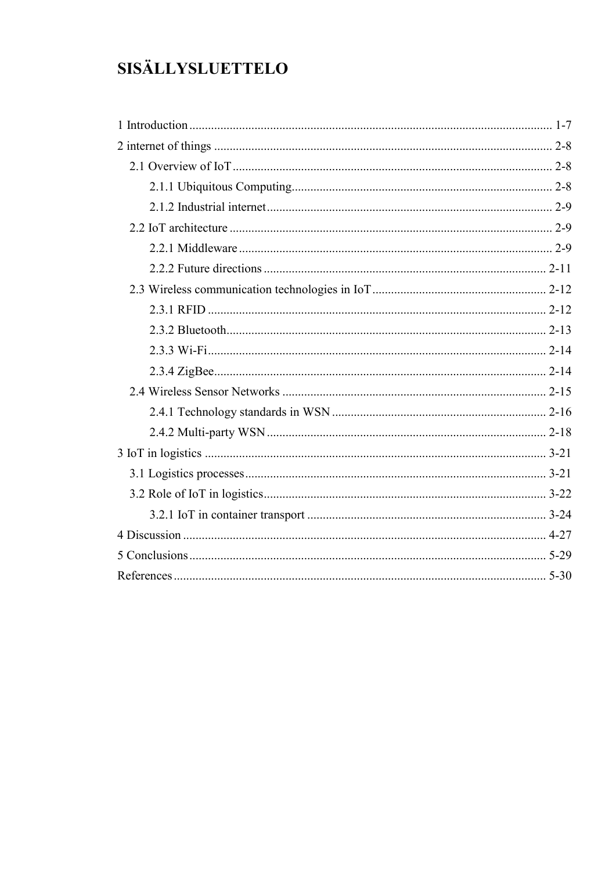# **SISÄLLYSLUETTELO**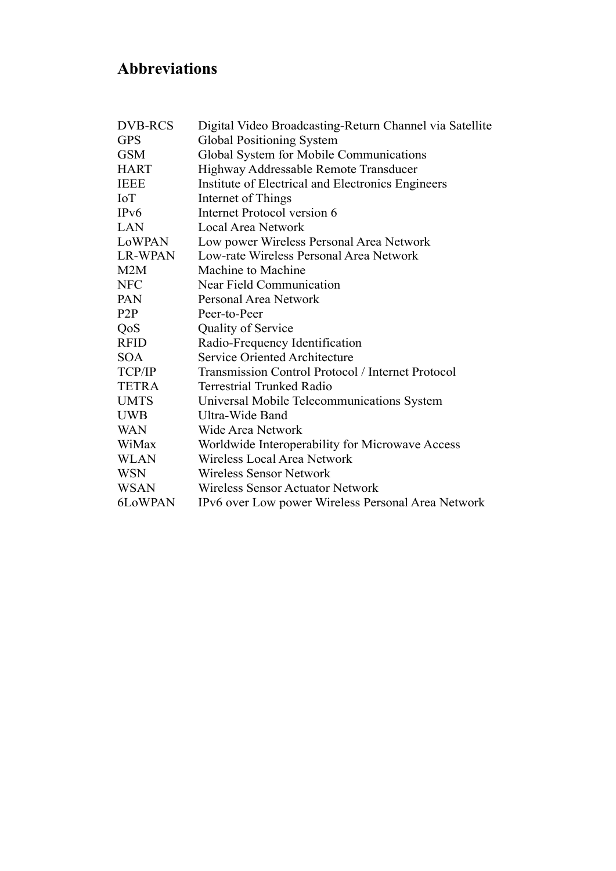# **Abbreviations**

| <b>DVB-RCS</b>   | Digital Video Broadcasting-Return Channel via Satellite |
|------------------|---------------------------------------------------------|
| <b>GPS</b>       | <b>Global Positioning System</b>                        |
| <b>GSM</b>       | Global System for Mobile Communications                 |
| <b>HART</b>      | Highway Addressable Remote Transducer                   |
| <b>IEEE</b>      | Institute of Electrical and Electronics Engineers       |
| <b>IoT</b>       | Internet of Things                                      |
| IPv6             | Internet Protocol version 6                             |
| LAN              | Local Area Network                                      |
| LoWPAN           | Low power Wireless Personal Area Network                |
| <b>LR-WPAN</b>   | Low-rate Wireless Personal Area Network                 |
| M2M              | Machine to Machine                                      |
| <b>NFC</b>       | Near Field Communication                                |
| PAN              | Personal Area Network                                   |
| P <sub>2</sub> P | Peer-to-Peer                                            |
| QoS              | <b>Quality of Service</b>                               |
| <b>RFID</b>      | Radio-Frequency Identification                          |
| <b>SOA</b>       | <b>Service Oriented Architecture</b>                    |
| TCP/IP           | Transmission Control Protocol / Internet Protocol       |
| <b>TETRA</b>     | <b>Terrestrial Trunked Radio</b>                        |
| <b>UMTS</b>      | Universal Mobile Telecommunications System              |
| <b>UWB</b>       | Ultra-Wide Band                                         |
| <b>WAN</b>       | Wide Area Network                                       |
| WiMax            | Worldwide Interoperability for Microwave Access         |
| <b>WLAN</b>      | Wireless Local Area Network                             |
| <b>WSN</b>       | Wireless Sensor Network                                 |
| <b>WSAN</b>      | <b>Wireless Sensor Actuator Network</b>                 |
| 6LoWPAN          | IPv6 over Low power Wireless Personal Area Network      |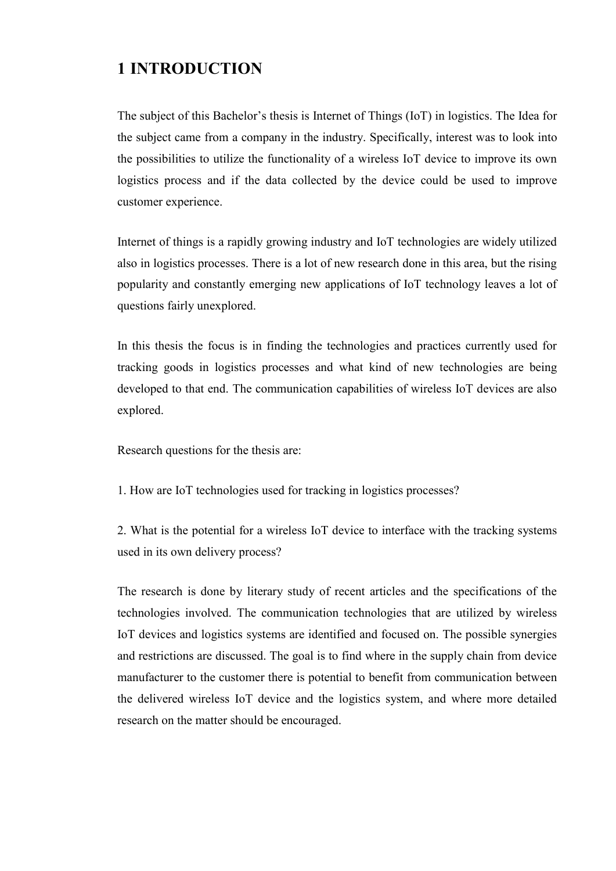# **1 INTRODUCTION**

The subject of this Bachelor's thesis is Internet of Things (IoT) in logistics. The Idea for the subject came from a company in the industry. Specifically, interest was to look into the possibilities to utilize the functionality of a wireless IoT device to improve its own logistics process and if the data collected by the device could be used to improve customer experience.

Internet of things is a rapidly growing industry and IoT technologies are widely utilized also in logistics processes. There is a lot of new research done in this area, but the rising popularity and constantly emerging new applications of IoT technology leaves a lot of questions fairly unexplored.

In this thesis the focus is in finding the technologies and practices currently used for tracking goods in logistics processes and what kind of new technologies are being developed to that end. The communication capabilities of wireless IoT devices are also explored.

Research questions for the thesis are:

1. How are IoT technologies used for tracking in logistics processes?

2. What is the potential for a wireless IoT device to interface with the tracking systems used in its own delivery process?

The research is done by literary study of recent articles and the specifications of the technologies involved. The communication technologies that are utilized by wireless IoT devices and logistics systems are identified and focused on. The possible synergies and restrictions are discussed. The goal is to find where in the supply chain from device manufacturer to the customer there is potential to benefit from communication between the delivered wireless IoT device and the logistics system, and where more detailed research on the matter should be encouraged.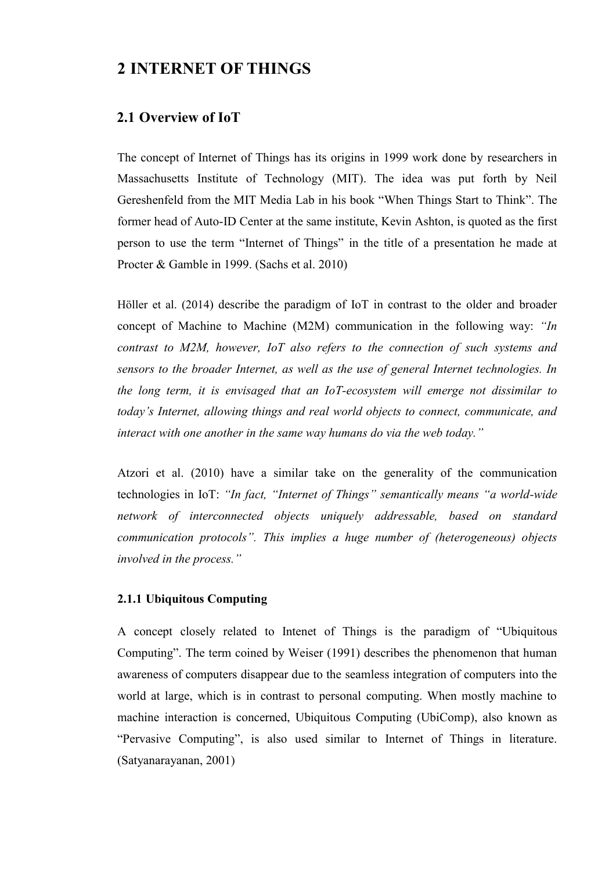# **2 INTERNET OF THINGS**

## **2.1 Overview of IoT**

The concept of Internet of Things has its origins in 1999 work done by researchers in Massachusetts Institute of Technology (MIT). The idea was put forth by Neil Gereshenfeld from the MIT Media Lab in his book "When Things Start to Think". The former head of Auto-ID Center at the same institute, Kevin Ashton, is quoted as the first person to use the term "Internet of Things" in the title of a presentation he made at Procter & Gamble in 1999. (Sachs et al. 2010)

Höller et al. (2014) describe the paradigm of IoT in contrast to the older and broader concept of Machine to Machine (M2M) communication in the following way: *"In contrast to M2M, however, IoT also refers to the connection of such systems and sensors to the broader Internet, as well as the use of general Internet technologies. In the long term, it is envisaged that an IoT-ecosystem will emerge not dissimilar to today's Internet, allowing things and real world objects to connect, communicate, and interact with one another in the same way humans do via the web today."*

Atzori et al. (2010) have a similar take on the generality of the communication technologies in IoT: *"In fact, "Internet of Things" semantically means "a world-wide network of interconnected objects uniquely addressable, based on standard communication protocols". This implies a huge number of (heterogeneous) objects involved in the process."*

### **2.1.1 Ubiquitous Computing**

A concept closely related to Intenet of Things is the paradigm of "Ubiquitous Computing". The term coined by Weiser (1991) describes the phenomenon that human awareness of computers disappear due to the seamless integration of computers into the world at large, which is in contrast to personal computing. When mostly machine to machine interaction is concerned, Ubiquitous Computing (UbiComp), also known as "Pervasive Computing", is also used similar to Internet of Things in literature. (Satyanarayanan, 2001)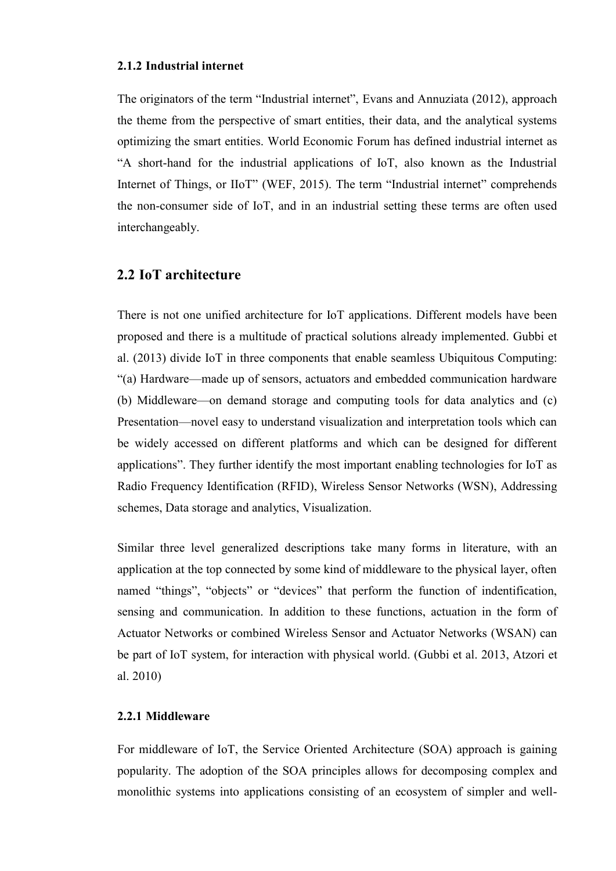#### **2.1.2 Industrial internet**

The originators of the term "Industrial internet", Evans and Annuziata (2012), approach the theme from the perspective of smart entities, their data, and the analytical systems optimizing the smart entities. World Economic Forum has defined industrial internet as "A short-hand for the industrial applications of IoT, also known as the Industrial Internet of Things, or IIoT" (WEF, 2015). The term "Industrial internet" comprehends the non-consumer side of IoT, and in an industrial setting these terms are often used interchangeably.

#### **2.2 IoT architecture**

There is not one unified architecture for IoT applications. Different models have been proposed and there is a multitude of practical solutions already implemented. Gubbi et al. (2013) divide IoT in three components that enable seamless Ubiquitous Computing: "(a) Hardware—made up of sensors, actuators and embedded communication hardware (b) Middleware—on demand storage and computing tools for data analytics and (c) Presentation—novel easy to understand visualization and interpretation tools which can be widely accessed on different platforms and which can be designed for different applications". They further identify the most important enabling technologies for IoT as Radio Frequency Identification (RFID), Wireless Sensor Networks (WSN), Addressing schemes, Data storage and analytics, Visualization.

Similar three level generalized descriptions take many forms in literature, with an application at the top connected by some kind of middleware to the physical layer, often named "things", "objects" or "devices" that perform the function of indentification, sensing and communication. In addition to these functions, actuation in the form of Actuator Networks or combined Wireless Sensor and Actuator Networks (WSAN) can be part of IoT system, for interaction with physical world. (Gubbi et al. 2013, Atzori et al. 2010)

#### **2.2.1 Middleware**

For middleware of IoT, the Service Oriented Architecture (SOA) approach is gaining popularity. The adoption of the SOA principles allows for decomposing complex and monolithic systems into applications consisting of an ecosystem of simpler and well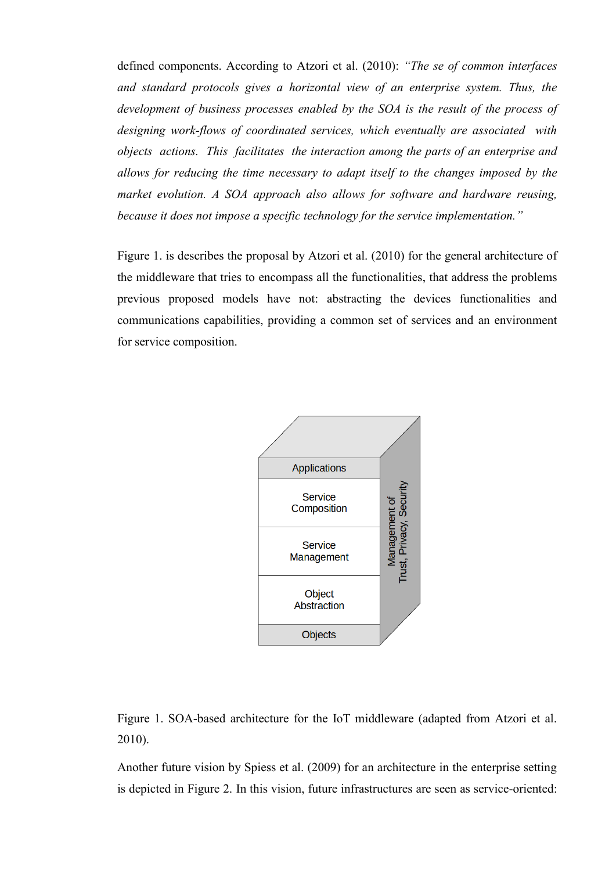defined components. According to Atzori et al. (2010): *"The se of common interfaces and standard protocols gives a horizontal view of an enterprise system. Thus, the development of business processes enabled by the SOA is the result of the process of designing work-flows of coordinated services, which eventually are associated with objects actions. This facilitates the interaction among the parts of an enterprise and allows for reducing the time necessary to adapt itself to the changes imposed by the market evolution. A SOA approach also allows for software and hardware reusing, because it does not impose a specific technology for the service implementation."*

Figure 1. is describes the proposal by Atzori et al. (2010) for the general architecture of the middleware that tries to encompass all the functionalities, that address the problems previous proposed models have not: abstracting the devices functionalities and communications capabilities, providing a common set of services and an environment for service composition.



Figure 1. SOA-based architecture for the IoT middleware (adapted from Atzori et al. 2010).

Another future vision by Spiess et al. (2009) for an architecture in the enterprise setting is depicted in Figure 2. In this vision, future infrastructures are seen as service-oriented: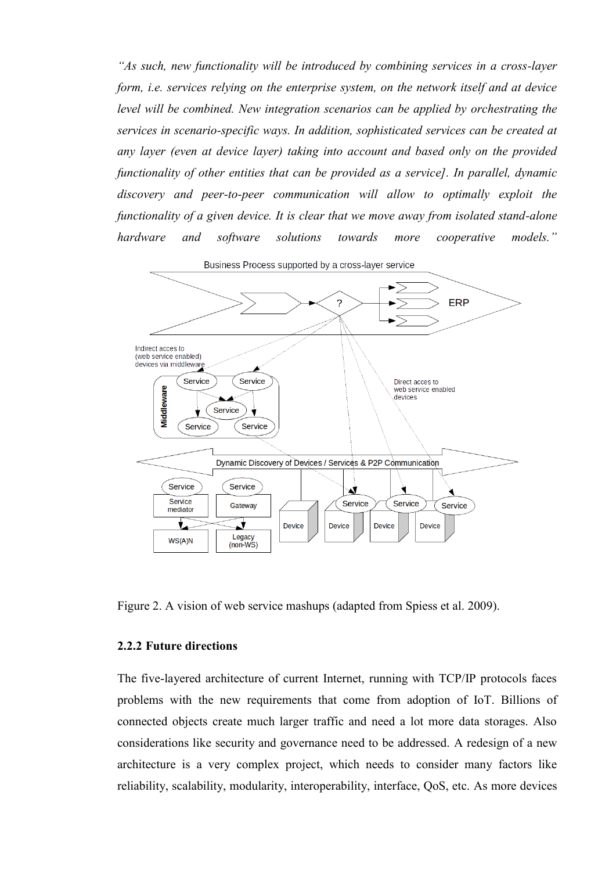*"As such, new functionality will be introduced by combining services in a cross-layer form, i.e. services relying on the enterprise system, on the network itself and at device level will be combined. New integration scenarios can be applied by orchestrating the services in scenario-specific ways. In addition, sophisticated services can be created at any layer (even at device layer) taking into account and based only on the provided functionality of other entities that can be provided as a service]. In parallel, dynamic discovery and peer-to-peer communication will allow to optimally exploit the functionality of a given device. It is clear that we move away from isolated stand-alone hardware and software solutions towards more cooperative models."*



Figure 2. A vision of web service mashups (adapted from Spiess et al. 2009).

#### **2.2.2 Future directions**

The five-layered architecture of current Internet, running with TCP/IP protocols faces problems with the new requirements that come from adoption of IoT. Billions of connected objects create much larger traffic and need a lot more data storages. Also considerations like security and governance need to be addressed. A redesign of a new architecture is a very complex project, which needs to consider many factors like reliability, scalability, modularity, interoperability, interface, QoS, etc. As more devices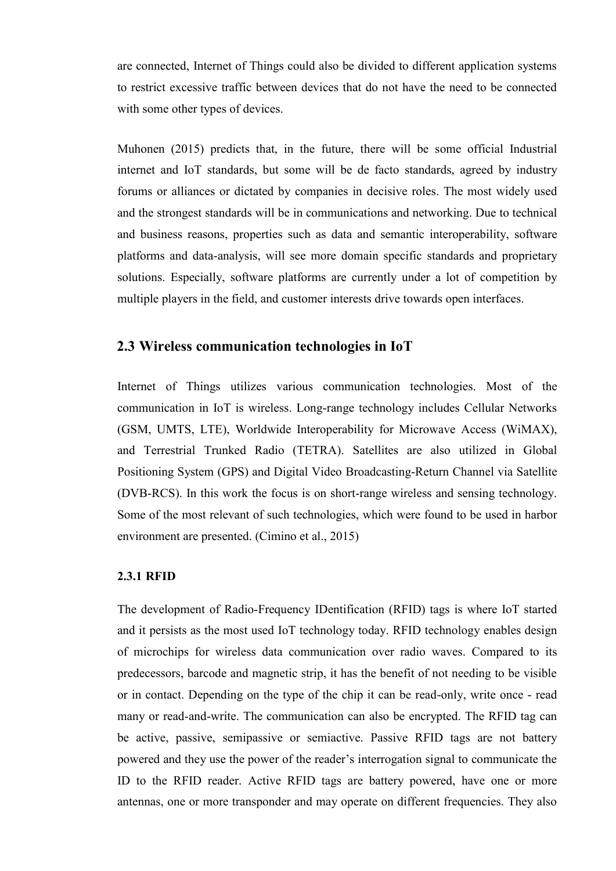are connected, Internet of Things could also be divided to different application systems to restrict excessive traffic between devices that do not have the need to be connected with some other types of devices.

Muhonen (2015) predicts that, in the future, there will be some official Industrial internet and IoT standards, but some will be de facto standards, agreed by industry forums or alliances or dictated by companies in decisive roles. The most widely used and the strongest standards will be in communications and networking. Due to technical and business reasons, properties such as data and semantic interoperability, software platforms and data-analysis, will see more domain specific standards and proprietary solutions. Especially, software platforms are currently under a lot of competition by multiple players in the field, and customer interests drive towards open interfaces.

### **2.3 Wireless communication technologies in IoT**

Internet of Things utilizes various communication technologies. Most of the communication in IoT is wireless. Long-range technology includes Cellular Networks (GSM, UMTS, LTE), Worldwide Interoperability for Microwave Access (WiMAX), and Terrestrial Trunked Radio (TETRA). Satellites are also utilized in Global Positioning System (GPS) and Digital Video Broadcasting-Return Channel via Satellite (DVB-RCS). In this work the focus is on short-range wireless and sensing technology. Some of the most relevant of such technologies, which were found to be used in harbor environment are presented. (Cimino et al., 2015)

#### **2.3.1 RFID**

The development of Radio-Frequency IDentification (RFID) tags is where IoT started and it persists as the most used IoT technology today. RFID technology enables design of microchips for wireless data communication over radio waves. Compared to its predecessors, barcode and magnetic strip, it has the benefit of not needing to be visible or in contact. Depending on the type of the chip it can be read-only, write once - read many or read-and-write. The communication can also be encrypted. The RFID tag can be active, passive, semipassive or semiactive. Passive RFID tags are not battery powered and they use the power of the reader's interrogation signal to communicate the ID to the RFID reader. Active RFID tags are battery powered, have one or more antennas, one or more transponder and may operate on different frequencies. They also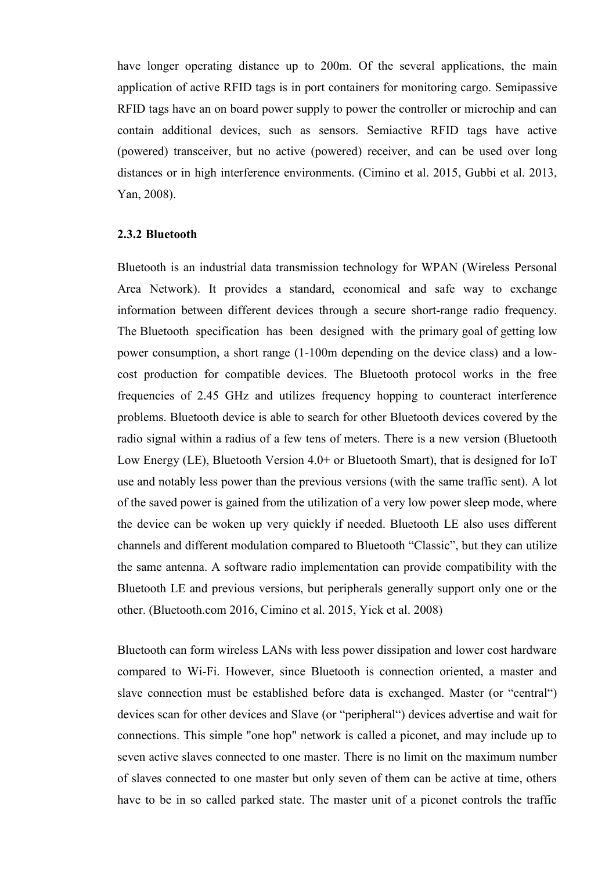have longer operating distance up to 200m. Of the several applications, the main application of active RFID tags is in port containers for monitoring cargo. Semipassive RFID tags have an on board power supply to power the controller or microchip and can contain additional devices, such as sensors. Semiactive RFID tags have active (powered) transceiver, but no active (powered) receiver, and can be used over long distances or in high interference environments. (Cimino et al. 2015, Gubbi et al. 2013, Yan, 2008).

#### **2.3.2 Bluetooth**

Bluetooth is an industrial data transmission technology for WPAN (Wireless Personal Area Network). It provides a standard, economical and safe way to exchange information between different devices through a secure short-range radio frequency. The Bluetooth specification has been designed with the primary goal of getting low power consumption, a short range (1-100m depending on the device class) and a lowcost production for compatible devices. The Bluetooth protocol works in the free frequencies of 2.45 GHz and utilizes frequency hopping to counteract interference problems. Bluetooth device is able to search for other Bluetooth devices covered by the radio signal within a radius of a few tens of meters. There is a new version (Bluetooth Low Energy (LE), Bluetooth Version 4.0+ or Bluetooth Smart), that is designed for IoT use and notably less power than the previous versions (with the same traffic sent). A lot of the saved power is gained from the utilization of a very low power sleep mode, where the device can be woken up very quickly if needed. Bluetooth LE also uses different channels and different modulation compared to Bluetooth "Classic", but they can utilize the same antenna. A software radio implementation can provide compatibility with the Bluetooth LE and previous versions, but peripherals generally support only one or the other. (Bluetooth.com 2016, Cimino et al. 2015, Yick et al. 2008)

Bluetooth can form wireless LANs with less power dissipation and lower cost hardware compared to Wi-Fi. However, since Bluetooth is connection oriented, a master and slave connection must be established before data is exchanged. Master (or "central") devices scan for other devices and Slave (or "peripheral") devices advertise and wait for connections. This simple "one hop" network is called a piconet, and may include up to seven active slaves connected to one master. There is no limit on the maximum number of slaves connected to one master but only seven of them can be active at time, others have to be in so called parked state. The master unit of a piconet controls the traffic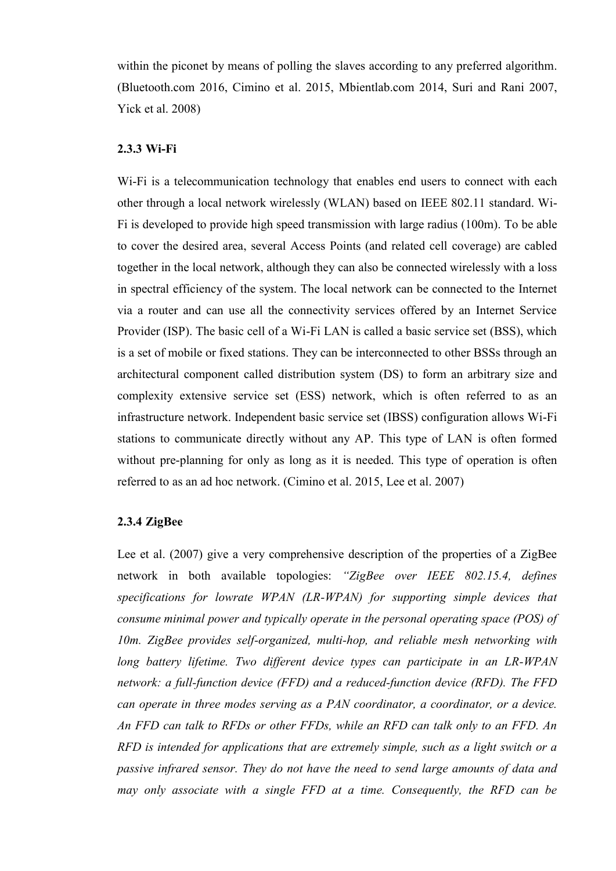within the piconet by means of polling the slaves according to any preferred algorithm. (Bluetooth.com 2016, Cimino et al. 2015, Mbientlab.com 2014, Suri and Rani 2007, Yick et al. 2008)

#### **2.3.3 Wi-Fi**

Wi-Fi is a telecommunication technology that enables end users to connect with each other through a local network wirelessly (WLAN) based on IEEE 802.11 standard. Wi-Fi is developed to provide high speed transmission with large radius (100m). To be able to cover the desired area, several Access Points (and related cell coverage) are cabled together in the local network, although they can also be connected wirelessly with a loss in spectral efficiency of the system. The local network can be connected to the Internet via a router and can use all the connectivity services offered by an Internet Service Provider (ISP). The basic cell of a Wi-Fi LAN is called a basic service set (BSS), which is a set of mobile or fixed stations. They can be interconnected to other BSSs through an architectural component called distribution system (DS) to form an arbitrary size and complexity extensive service set (ESS) network, which is often referred to as an infrastructure network. Independent basic service set (IBSS) configuration allows Wi-Fi stations to communicate directly without any AP. This type of LAN is often formed without pre-planning for only as long as it is needed. This type of operation is often referred to as an ad hoc network. (Cimino et al. 2015, Lee et al. 2007)

#### **2.3.4 ZigBee**

Lee et al. (2007) give a very comprehensive description of the properties of a ZigBee network in both available topologies: *"ZigBee over IEEE 802.15.4, defines specifications for lowrate WPAN (LR-WPAN) for supporting simple devices that consume minimal power and typically operate in the personal operating space (POS) of 10m. ZigBee provides self-organized, multi-hop, and reliable mesh networking with long battery lifetime. Two different device types can participate in an LR-WPAN network: a full-function device (FFD) and a reduced-function device (RFD). The FFD can operate in three modes serving as a PAN coordinator, a coordinator, or a device. An FFD can talk to RFDs or other FFDs, while an RFD can talk only to an FFD. An RFD is intended for applications that are extremely simple, such as a light switch or a passive infrared sensor. They do not have the need to send large amounts of data and may only associate with a single FFD at a time. Consequently, the RFD can be*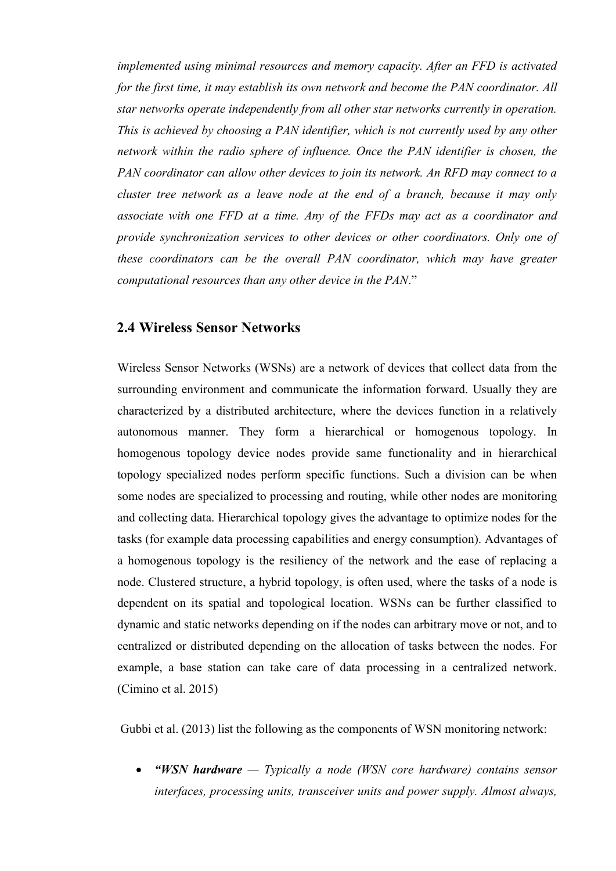*implemented using minimal resources and memory capacity. After an FFD is activated for the first time, it may establish its own network and become the PAN coordinator. All star networks operate independently from all other star networks currently in operation. This is achieved by choosing a PAN identifier, which is not currently used by any other network within the radio sphere of influence. Once the PAN identifier is chosen, the PAN coordinator can allow other devices to join its network. An RFD may connect to a cluster tree network as a leave node at the end of a branch, because it may only associate with one FFD at a time. Any of the FFDs may act as a coordinator and provide synchronization services to other devices or other coordinators. Only one of these coordinators can be the overall PAN coordinator, which may have greater computational resources than any other device in the PAN*."

### **2.4 Wireless Sensor Networks**

Wireless Sensor Networks (WSNs) are a network of devices that collect data from the surrounding environment and communicate the information forward. Usually they are characterized by a distributed architecture, where the devices function in a relatively autonomous manner. They form a hierarchical or homogenous topology. In homogenous topology device nodes provide same functionality and in hierarchical topology specialized nodes perform specific functions. Such a division can be when some nodes are specialized to processing and routing, while other nodes are monitoring and collecting data. Hierarchical topology gives the advantage to optimize nodes for the tasks (for example data processing capabilities and energy consumption). Advantages of a homogenous topology is the resiliency of the network and the ease of replacing a node. Clustered structure, a hybrid topology, is often used, where the tasks of a node is dependent on its spatial and topological location. WSNs can be further classified to dynamic and static networks depending on if the nodes can arbitrary move or not, and to centralized or distributed depending on the allocation of tasks between the nodes. For example, a base station can take care of data processing in a centralized network. (Cimino et al. 2015)

Gubbi et al. (2013) list the following as the components of WSN monitoring network:

 *"WSN hardware — Typically a node (WSN core hardware) contains sensor interfaces, processing units, transceiver units and power supply. Almost always,*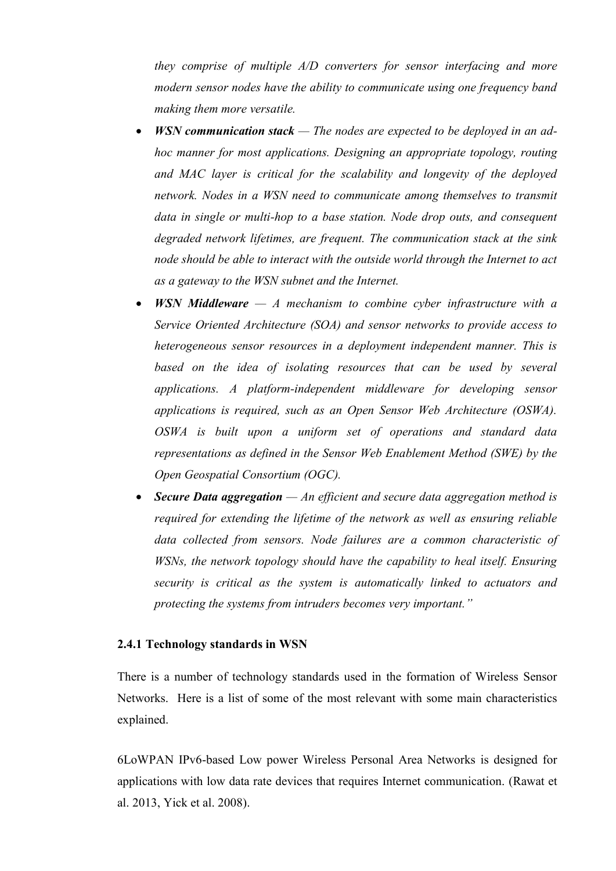*they comprise of multiple A/D converters for sensor interfacing and more modern sensor nodes have the ability to communicate using one frequency band making them more versatile.*

- *WSN communication stack — The nodes are expected to be deployed in an adhoc manner for most applications. Designing an appropriate topology, routing and MAC layer is critical for the scalability and longevity of the deployed network. Nodes in a WSN need to communicate among themselves to transmit data in single or multi-hop to a base station. Node drop outs, and consequent degraded network lifetimes, are frequent. The communication stack at the sink node should be able to interact with the outside world through the Internet to act as a gateway to the WSN subnet and the Internet.*
- *WSN Middleware — A mechanism to combine cyber infrastructure with a Service Oriented Architecture (SOA) and sensor networks to provide access to heterogeneous sensor resources in a deployment independent manner. This is based on the idea of isolating resources that can be used by several applications. A platform-independent middleware for developing sensor applications is required, such as an Open Sensor Web Architecture (OSWA). OSWA is built upon a uniform set of operations and standard data representations as defined in the Sensor Web Enablement Method (SWE) by the Open Geospatial Consortium (OGC).*
- *Secure Data aggregation — An efficient and secure data aggregation method is required for extending the lifetime of the network as well as ensuring reliable data collected from sensors. Node failures are a common characteristic of WSNs, the network topology should have the capability to heal itself. Ensuring security is critical as the system is automatically linked to actuators and protecting the systems from intruders becomes very important."*

#### **2.4.1 Technology standards in WSN**

There is a number of technology standards used in the formation of Wireless Sensor Networks. Here is a list of some of the most relevant with some main characteristics explained.

6LoWPAN IPv6-based Low power Wireless Personal Area Networks is designed for applications with low data rate devices that requires Internet communication. (Rawat et al. 2013, Yick et al. 2008).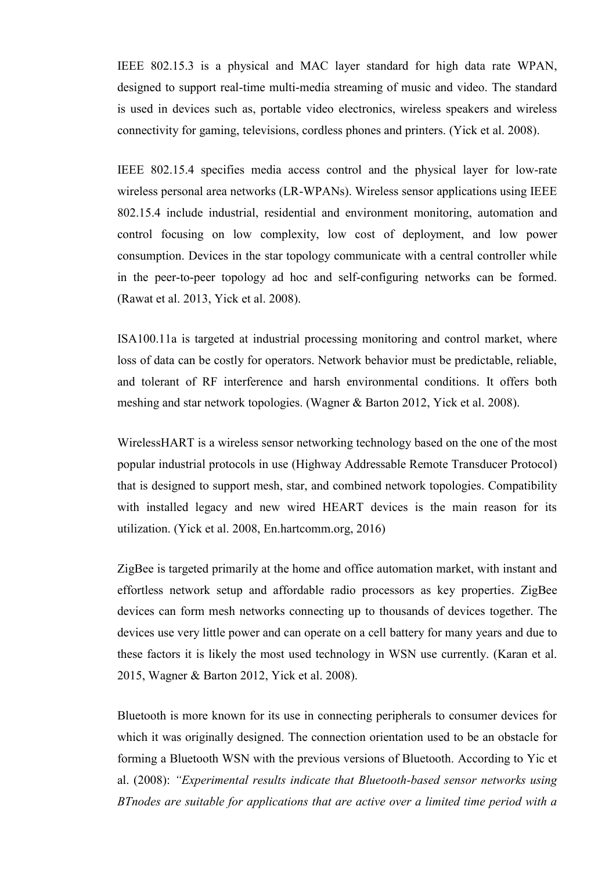IEEE 802.15.3 is a physical and MAC layer standard for high data rate WPAN, designed to support real-time multi-media streaming of music and video. The standard is used in devices such as, portable video electronics, wireless speakers and wireless connectivity for gaming, televisions, cordless phones and printers. (Yick et al. 2008).

IEEE 802.15.4 specifies media access control and the physical layer for low-rate wireless personal area networks (LR-WPANs). Wireless sensor applications using IEEE 802.15.4 include industrial, residential and environment monitoring, automation and control focusing on low complexity, low cost of deployment, and low power consumption. Devices in the star topology communicate with a central controller while in the peer-to-peer topology ad hoc and self-configuring networks can be formed. (Rawat et al. 2013, Yick et al. 2008).

ISA100.11a is targeted at industrial processing monitoring and control market, where loss of data can be costly for operators. Network behavior must be predictable, reliable, and tolerant of RF interference and harsh environmental conditions. It offers both meshing and star network topologies. (Wagner & Barton 2012, Yick et al. 2008).

WirelessHART is a wireless sensor networking technology based on the one of the most popular industrial protocols in use (Highway Addressable Remote Transducer Protocol) that is designed to support mesh, star, and combined network topologies. Compatibility with installed legacy and new wired HEART devices is the main reason for its utilization. (Yick et al. 2008, En.hartcomm.org, 2016)

ZigBee is targeted primarily at the home and office automation market, with instant and effortless network setup and affordable radio processors as key properties. ZigBee devices can form mesh networks connecting up to thousands of devices together. The devices use very little power and can operate on a cell battery for many years and due to these factors it is likely the most used technology in WSN use currently. (Karan et al. 2015, Wagner & Barton 2012, Yick et al. 2008).

Bluetooth is more known for its use in connecting peripherals to consumer devices for which it was originally designed. The connection orientation used to be an obstacle for forming a Bluetooth WSN with the previous versions of Bluetooth. According to Yic et al. (2008): *"Experimental results indicate that Bluetooth-based sensor networks using BTnodes are suitable for applications that are active over a limited time period with a*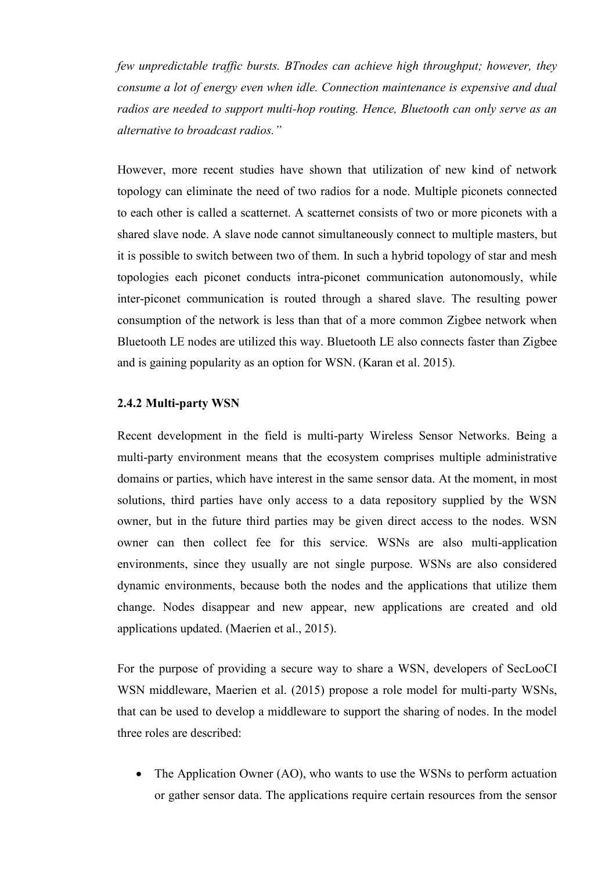*few unpredictable traffic bursts. BTnodes can achieve high throughput; however, they consume a lot of energy even when idle. Connection maintenance is expensive and dual radios are needed to support multi-hop routing. Hence, Bluetooth can only serve as an alternative to broadcast radios."*

However, more recent studies have shown that utilization of new kind of network topology can eliminate the need of two radios for a node. Multiple piconets connected to each other is called a scatternet. A scatternet consists of two or more piconets with a shared slave node. A slave node cannot simultaneously connect to multiple masters, but it is possible to switch between two of them. In such a hybrid topology of star and mesh topologies each piconet conducts intra-piconet communication autonomously, while inter-piconet communication is routed through a shared slave. The resulting power consumption of the network is less than that of a more common Zigbee network when Bluetooth LE nodes are utilized this way. Bluetooth LE also connects faster than Zigbee and is gaining popularity as an option for WSN. (Karan et al. 2015).

#### **2.4.2 Multi-party WSN**

Recent development in the field is multi-party Wireless Sensor Networks. Being a multi-party environment means that the ecosystem comprises multiple administrative domains or parties, which have interest in the same sensor data. At the moment, in most solutions, third parties have only access to a data repository supplied by the WSN owner, but in the future third parties may be given direct access to the nodes. WSN owner can then collect fee for this service. WSNs are also multi-application environments, since they usually are not single purpose. WSNs are also considered dynamic environments, because both the nodes and the applications that utilize them change. Nodes disappear and new appear, new applications are created and old applications updated. (Maerien et al., 2015).

For the purpose of providing a secure way to share a WSN, developers of SecLooCI WSN middleware, Maerien et al. (2015) propose a role model for multi-party WSNs, that can be used to develop a middleware to support the sharing of nodes. In the model three roles are described:

• The Application Owner (AO), who wants to use the WSNs to perform actuation or gather sensor data. The applications require certain resources from the sensor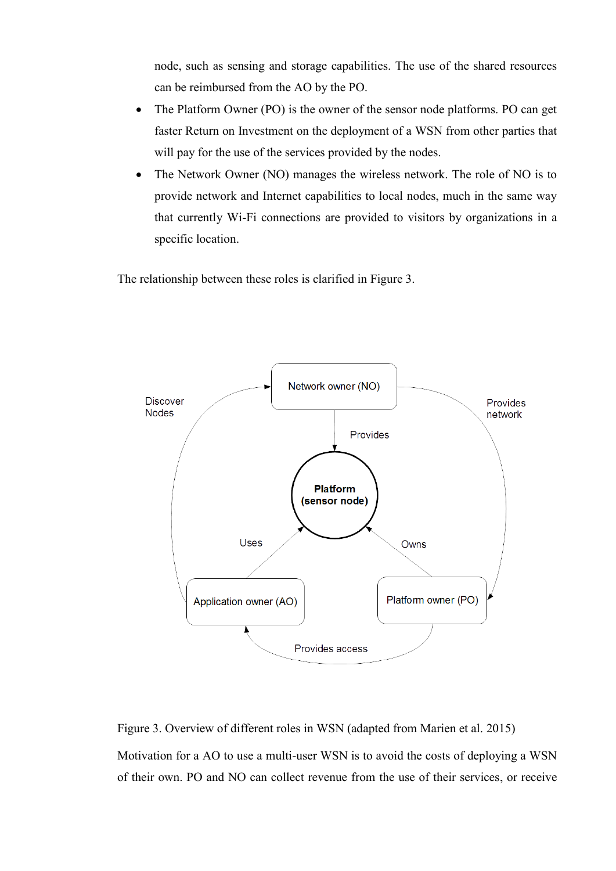node, such as sensing and storage capabilities. The use of the shared resources can be reimbursed from the AO by the PO.

- The Platform Owner (PO) is the owner of the sensor node platforms. PO can get faster Return on Investment on the deployment of a WSN from other parties that will pay for the use of the services provided by the nodes.
- The Network Owner (NO) manages the wireless network. The role of NO is to provide network and Internet capabilities to local nodes, much in the same way that currently Wi-Fi connections are provided to visitors by organizations in a specific location.

The relationship between these roles is clarified in Figure 3.



Figure 3. Overview of different roles in WSN (adapted from Marien et al. 2015)

Motivation for a AO to use a multi-user WSN is to avoid the costs of deploying a WSN of their own. PO and NO can collect revenue from the use of their services, or receive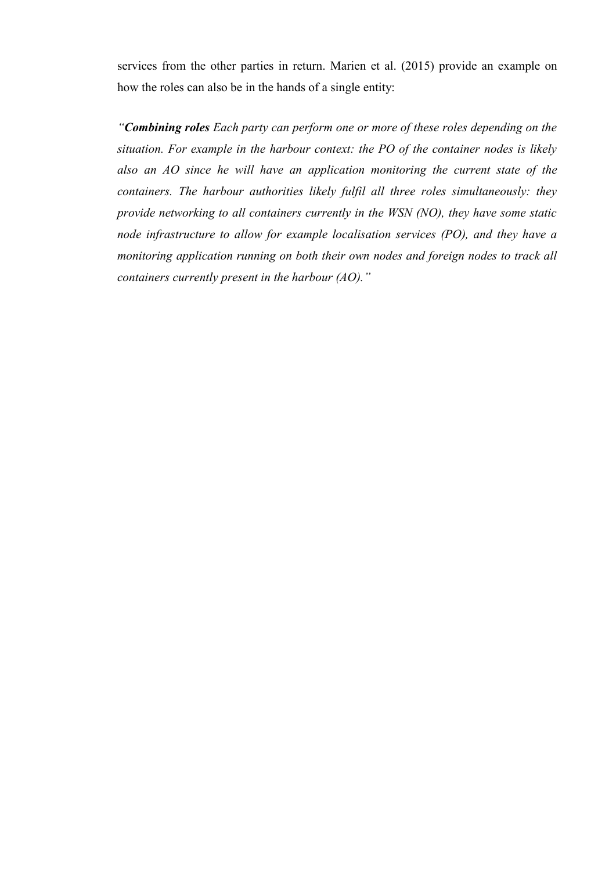services from the other parties in return. Marien et al. (2015) provide an example on how the roles can also be in the hands of a single entity:

*"Combining roles Each party can perform one or more of these roles depending on the situation. For example in the harbour context: the PO of the container nodes is likely also an AO since he will have an application monitoring the current state of the containers. The harbour authorities likely fulfil all three roles simultaneously: they provide networking to all containers currently in the WSN (NO), they have some static node infrastructure to allow for example localisation services (PO), and they have a monitoring application running on both their own nodes and foreign nodes to track all containers currently present in the harbour (AO)."*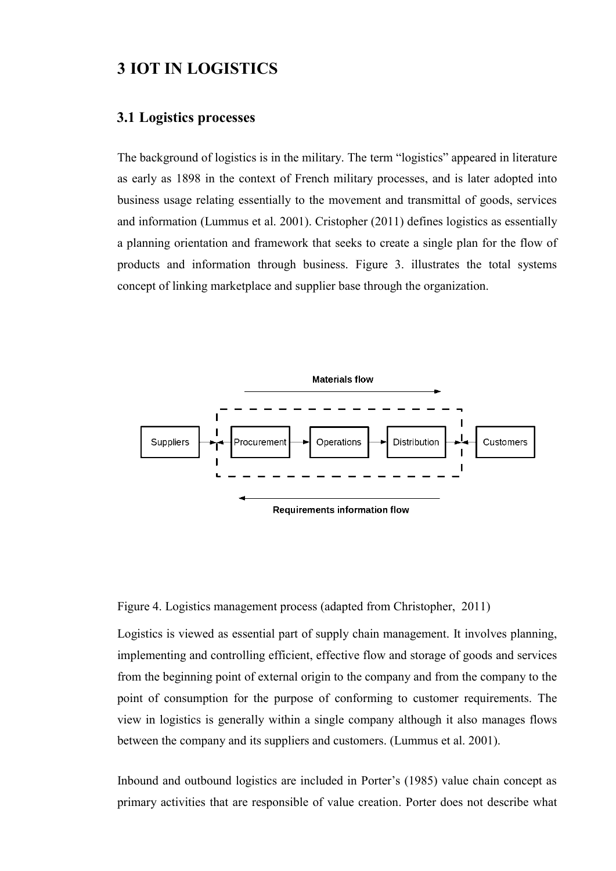# **3 IOT IN LOGISTICS**

### **3.1 Logistics processes**

The background of logistics is in the military. The term "logistics" appeared in literature as early as 1898 in the context of French military processes, and is later adopted into business usage relating essentially to the movement and transmittal of goods, services and information (Lummus et al. 2001). Cristopher (2011) defines logistics as essentially a planning orientation and framework that seeks to create a single plan for the flow of products and information through business. Figure 3. illustrates the total systems concept of linking marketplace and supplier base through the organization.





Logistics is viewed as essential part of supply chain management. It involves planning, implementing and controlling efficient, effective flow and storage of goods and services from the beginning point of external origin to the company and from the company to the point of consumption for the purpose of conforming to customer requirements. The view in logistics is generally within a single company although it also manages flows between the company and its suppliers and customers. (Lummus et al. 2001).

Inbound and outbound logistics are included in Porter's (1985) value chain concept as primary activities that are responsible of value creation. Porter does not describe what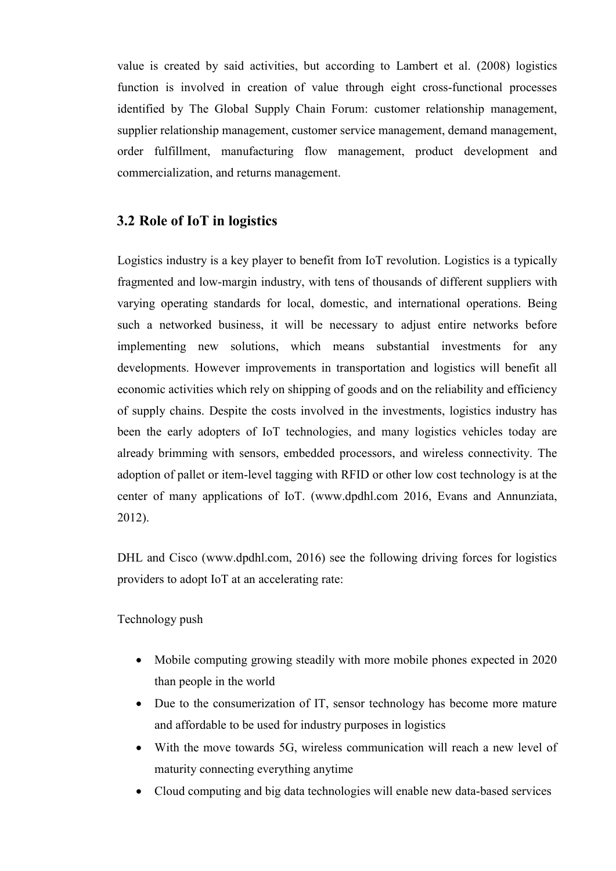value is created by said activities, but according to Lambert et al. (2008) logistics function is involved in creation of value through eight cross-functional processes identified by The Global Supply Chain Forum: customer relationship management, supplier relationship management, customer service management, demand management, order fulfillment, manufacturing flow management, product development and commercialization, and returns management.

## **3.2 Role of IoT in logistics**

Logistics industry is a key player to benefit from IoT revolution. Logistics is a typically fragmented and low-margin industry, with tens of thousands of different suppliers with varying operating standards for local, domestic, and international operations. Being such a networked business, it will be necessary to adjust entire networks before implementing new solutions, which means substantial investments for any developments. However improvements in transportation and logistics will benefit all economic activities which rely on shipping of goods and on the reliability and efficiency of supply chains. Despite the costs involved in the investments, logistics industry has been the early adopters of IoT technologies, and many logistics vehicles today are already brimming with sensors, embedded processors, and wireless connectivity. The adoption of pallet or item-level tagging with RFID or other low cost technology is at the center of many applications of IoT. (www.dpdhl.com 2016, Evans and Annunziata, 2012).

DHL and Cisco (www.dpdhl.com, 2016) see the following driving forces for logistics providers to adopt IoT at an accelerating rate:

Technology push

- Mobile computing growing steadily with more mobile phones expected in 2020 than people in the world
- Due to the consumerization of IT, sensor technology has become more mature and affordable to be used for industry purposes in logistics
- With the move towards 5G, wireless communication will reach a new level of maturity connecting everything anytime
- Cloud computing and big data technologies will enable new data-based services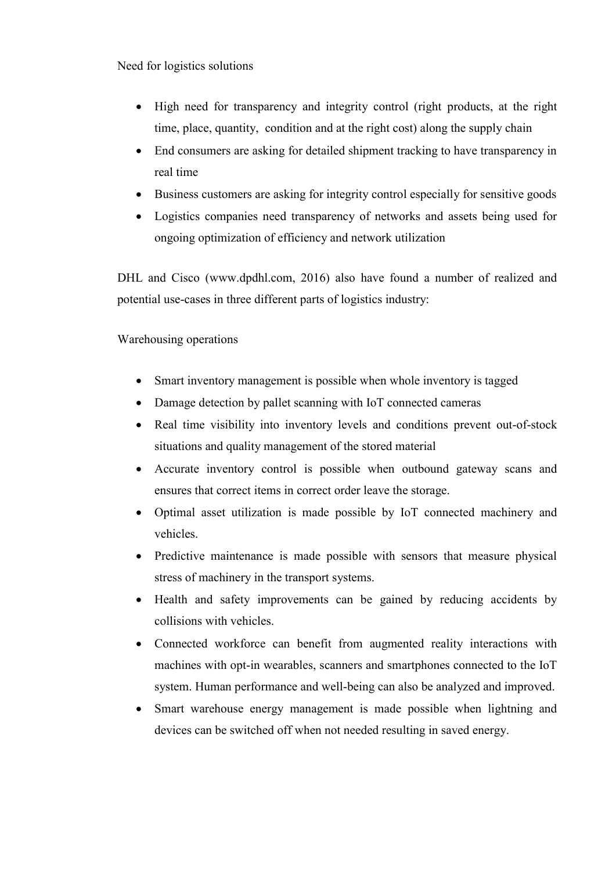Need for logistics solutions

- High need for transparency and integrity control (right products, at the right time, place, quantity, condition and at the right cost) along the supply chain
- End consumers are asking for detailed shipment tracking to have transparency in real time
- Business customers are asking for integrity control especially for sensitive goods
- Logistics companies need transparency of networks and assets being used for ongoing optimization of efficiency and network utilization

DHL and Cisco (www.dpdhl.com, 2016) also have found a number of realized and potential use-cases in three different parts of logistics industry:

## Warehousing operations

- Smart inventory management is possible when whole inventory is tagged
- Damage detection by pallet scanning with IoT connected cameras
- Real time visibility into inventory levels and conditions prevent out-of-stock situations and quality management of the stored material
- Accurate inventory control is possible when outbound gateway scans and ensures that correct items in correct order leave the storage.
- Optimal asset utilization is made possible by IoT connected machinery and vehicles.
- Predictive maintenance is made possible with sensors that measure physical stress of machinery in the transport systems.
- Health and safety improvements can be gained by reducing accidents by collisions with vehicles.
- Connected workforce can benefit from augmented reality interactions with machines with opt-in wearables, scanners and smartphones connected to the IoT system. Human performance and well-being can also be analyzed and improved.
- Smart warehouse energy management is made possible when lightning and devices can be switched off when not needed resulting in saved energy.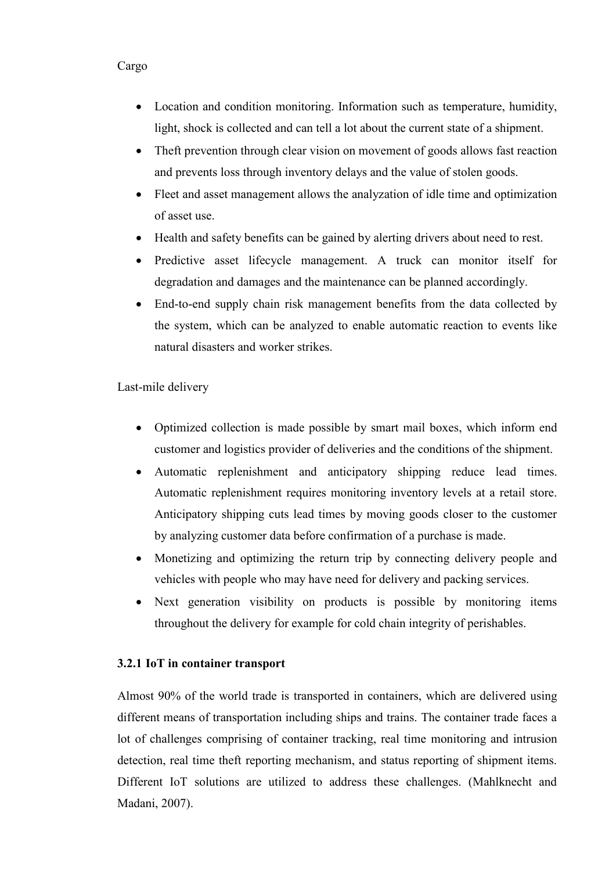### Cargo

- Location and condition monitoring. Information such as temperature, humidity, light, shock is collected and can tell a lot about the current state of a shipment.
- Theft prevention through clear vision on movement of goods allows fast reaction and prevents loss through inventory delays and the value of stolen goods.
- Fleet and asset management allows the analyzation of idle time and optimization of asset use.
- Health and safety benefits can be gained by alerting drivers about need to rest.
- Predictive asset lifecycle management. A truck can monitor itself for degradation and damages and the maintenance can be planned accordingly.
- End-to-end supply chain risk management benefits from the data collected by the system, which can be analyzed to enable automatic reaction to events like natural disasters and worker strikes.

### Last-mile delivery

- Optimized collection is made possible by smart mail boxes, which inform end customer and logistics provider of deliveries and the conditions of the shipment.
- Automatic replenishment and anticipatory shipping reduce lead times. Automatic replenishment requires monitoring inventory levels at a retail store. Anticipatory shipping cuts lead times by moving goods closer to the customer by analyzing customer data before confirmation of a purchase is made.
- Monetizing and optimizing the return trip by connecting delivery people and vehicles with people who may have need for delivery and packing services.
- Next generation visibility on products is possible by monitoring items throughout the delivery for example for cold chain integrity of perishables.

#### **3.2.1 IoT in container transport**

Almost 90% of the world trade is transported in containers, which are delivered using different means of transportation including ships and trains. The container trade faces a lot of challenges comprising of container tracking, real time monitoring and intrusion detection, real time theft reporting mechanism, and status reporting of shipment items. Different IoT solutions are utilized to address these challenges. (Mahlknecht and Madani, 2007).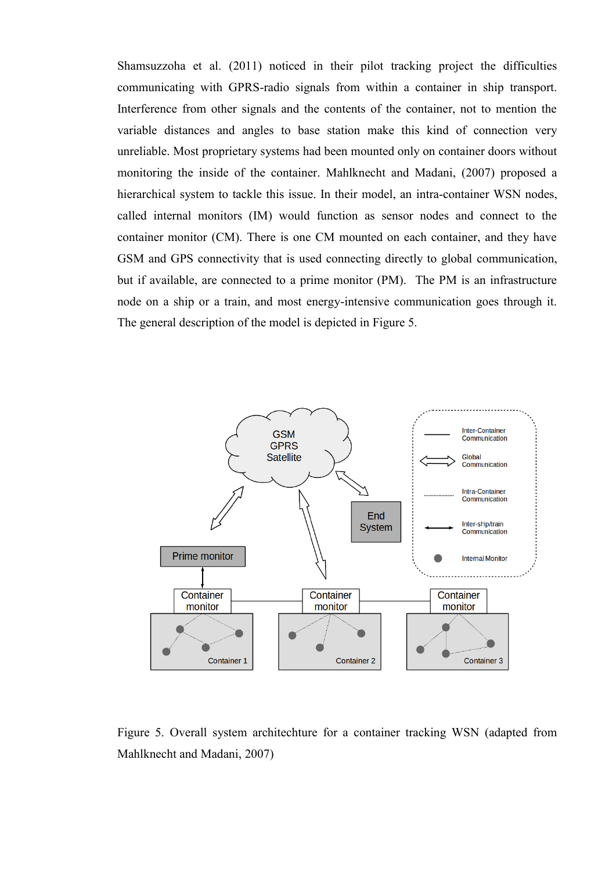Shamsuzzoha et al. (2011) noticed in their pilot tracking project the difficulties communicating with GPRS-radio signals from within a container in ship transport. Interference from other signals and the contents of the container, not to mention the variable distances and angles to base station make this kind of connection very unreliable. Most proprietary systems had been mounted only on container doors without monitoring the inside of the container. Mahlknecht and Madani, (2007) proposed a hierarchical system to tackle this issue. In their model, an intra-container WSN nodes, called internal monitors (IM) would function as sensor nodes and connect to the container monitor (CM). There is one CM mounted on each container, and they have GSM and GPS connectivity that is used connecting directly to global communication, but if available, are connected to a prime monitor (PM). The PM is an infrastructure node on a ship or a train, and most energy-intensive communication goes through it. The general description of the model is depicted in Figure 5.



Figure 5. Overall system architechture for a container tracking WSN (adapted from Mahlknecht and Madani, 2007)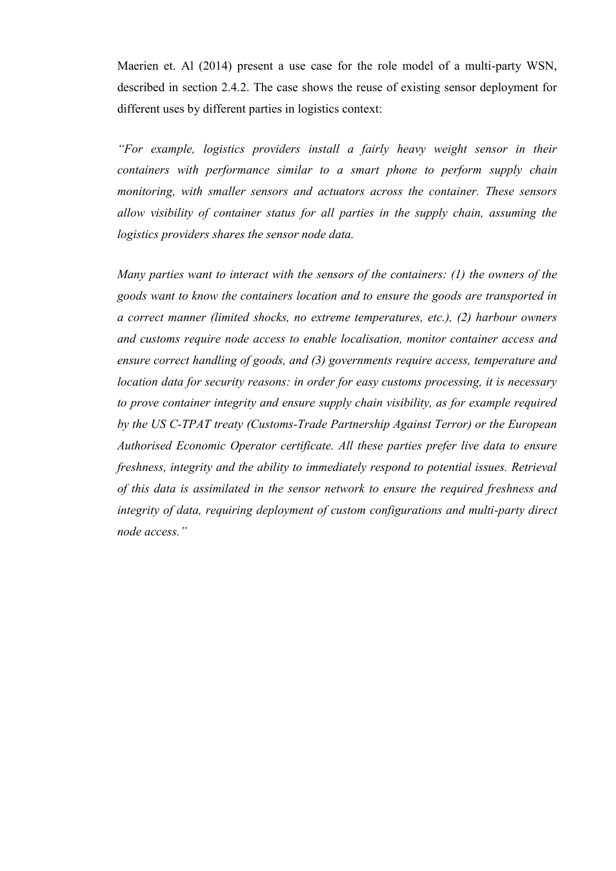Maerien et. Al (2014) present a use case for the role model of a multi-party WSN, described in section 2.4.2. The case shows the reuse of existing sensor deployment for different uses by different parties in logistics context:

*"For example, logistics providers install a fairly heavy weight sensor in their containers with performance similar to a smart phone to perform supply chain monitoring, with smaller sensors and actuators across the container. These sensors allow visibility of container status for all parties in the supply chain, assuming the logistics providers shares the sensor node data.*

*Many parties want to interact with the sensors of the containers: (1) the owners of the goods want to know the containers location and to ensure the goods are transported in a correct manner (limited shocks, no extreme temperatures, etc.), (2) harbour owners and customs require node access to enable localisation, monitor container access and ensure correct handling of goods, and (3) governments require access, temperature and location data for security reasons: in order for easy customs processing, it is necessary to prove container integrity and ensure supply chain visibility, as for example required by the US C-TPAT treaty (Customs-Trade Partnership Against Terror) or the European Authorised Economic Operator certificate. All these parties prefer live data to ensure freshness, integrity and the ability to immediately respond to potential issues. Retrieval of this data is assimilated in the sensor network to ensure the required freshness and integrity of data, requiring deployment of custom configurations and multi-party direct node access."*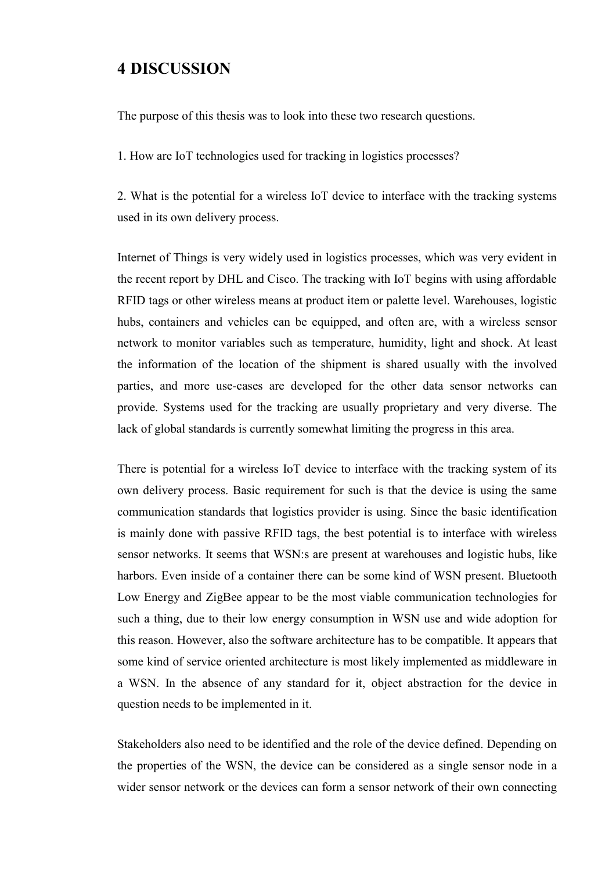## **4 DISCUSSION**

The purpose of this thesis was to look into these two research questions.

1. How are IoT technologies used for tracking in logistics processes?

2. What is the potential for a wireless IoT device to interface with the tracking systems used in its own delivery process.

Internet of Things is very widely used in logistics processes, which was very evident in the recent report by DHL and Cisco. The tracking with IoT begins with using affordable RFID tags or other wireless means at product item or palette level. Warehouses, logistic hubs, containers and vehicles can be equipped, and often are, with a wireless sensor network to monitor variables such as temperature, humidity, light and shock. At least the information of the location of the shipment is shared usually with the involved parties, and more use-cases are developed for the other data sensor networks can provide. Systems used for the tracking are usually proprietary and very diverse. The lack of global standards is currently somewhat limiting the progress in this area.

There is potential for a wireless IoT device to interface with the tracking system of its own delivery process. Basic requirement for such is that the device is using the same communication standards that logistics provider is using. Since the basic identification is mainly done with passive RFID tags, the best potential is to interface with wireless sensor networks. It seems that WSN:s are present at warehouses and logistic hubs, like harbors. Even inside of a container there can be some kind of WSN present. Bluetooth Low Energy and ZigBee appear to be the most viable communication technologies for such a thing, due to their low energy consumption in WSN use and wide adoption for this reason. However, also the software architecture has to be compatible. It appears that some kind of service oriented architecture is most likely implemented as middleware in a WSN. In the absence of any standard for it, object abstraction for the device in question needs to be implemented in it.

Stakeholders also need to be identified and the role of the device defined. Depending on the properties of the WSN, the device can be considered as a single sensor node in a wider sensor network or the devices can form a sensor network of their own connecting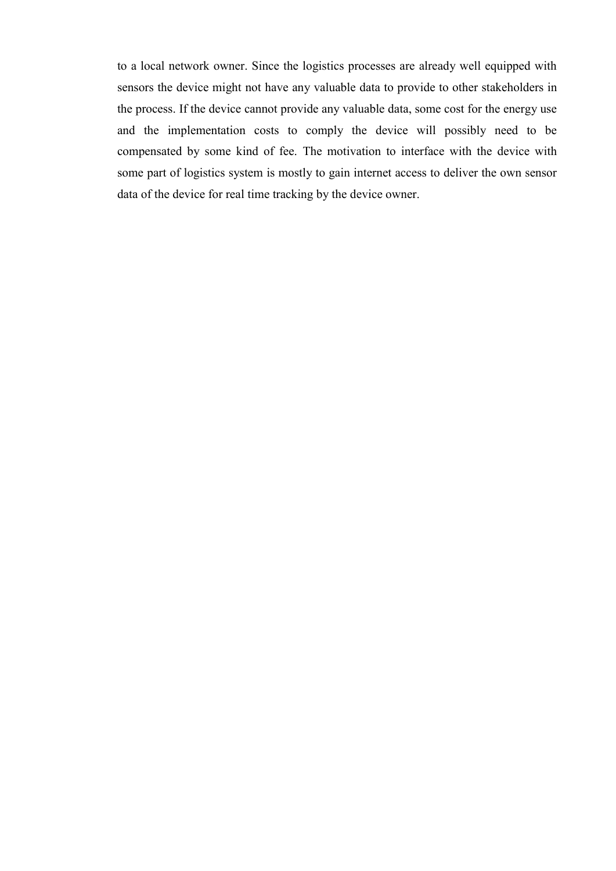to a local network owner. Since the logistics processes are already well equipped with sensors the device might not have any valuable data to provide to other stakeholders in the process. If the device cannot provide any valuable data, some cost for the energy use and the implementation costs to comply the device will possibly need to be compensated by some kind of fee. The motivation to interface with the device with some part of logistics system is mostly to gain internet access to deliver the own sensor data of the device for real time tracking by the device owner.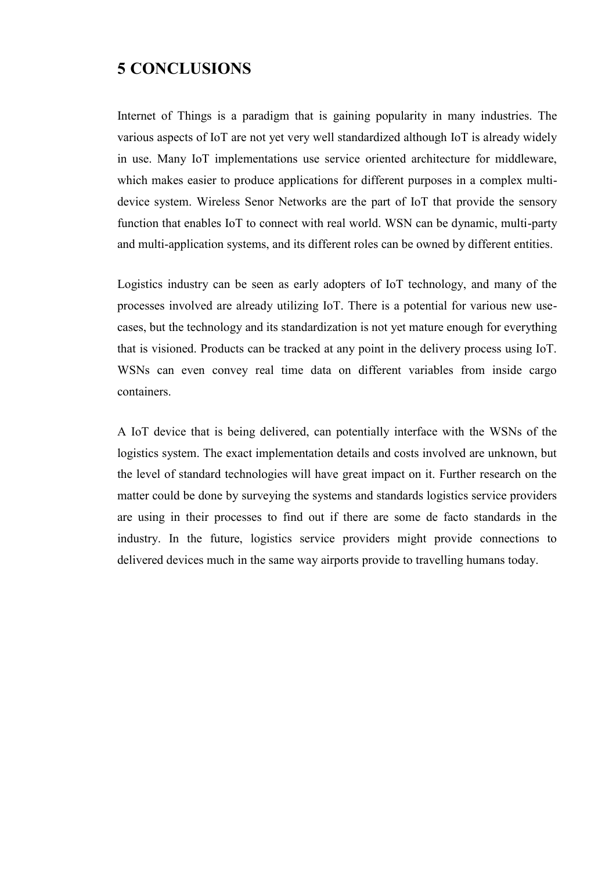## **5 CONCLUSIONS**

Internet of Things is a paradigm that is gaining popularity in many industries. The various aspects of IoT are not yet very well standardized although IoT is already widely in use. Many IoT implementations use service oriented architecture for middleware, which makes easier to produce applications for different purposes in a complex multidevice system. Wireless Senor Networks are the part of IoT that provide the sensory function that enables IoT to connect with real world. WSN can be dynamic, multi-party and multi-application systems, and its different roles can be owned by different entities.

Logistics industry can be seen as early adopters of IoT technology, and many of the processes involved are already utilizing IoT. There is a potential for various new usecases, but the technology and its standardization is not yet mature enough for everything that is visioned. Products can be tracked at any point in the delivery process using IoT. WSNs can even convey real time data on different variables from inside cargo containers.

A IoT device that is being delivered, can potentially interface with the WSNs of the logistics system. The exact implementation details and costs involved are unknown, but the level of standard technologies will have great impact on it. Further research on the matter could be done by surveying the systems and standards logistics service providers are using in their processes to find out if there are some de facto standards in the industry. In the future, logistics service providers might provide connections to delivered devices much in the same way airports provide to travelling humans today.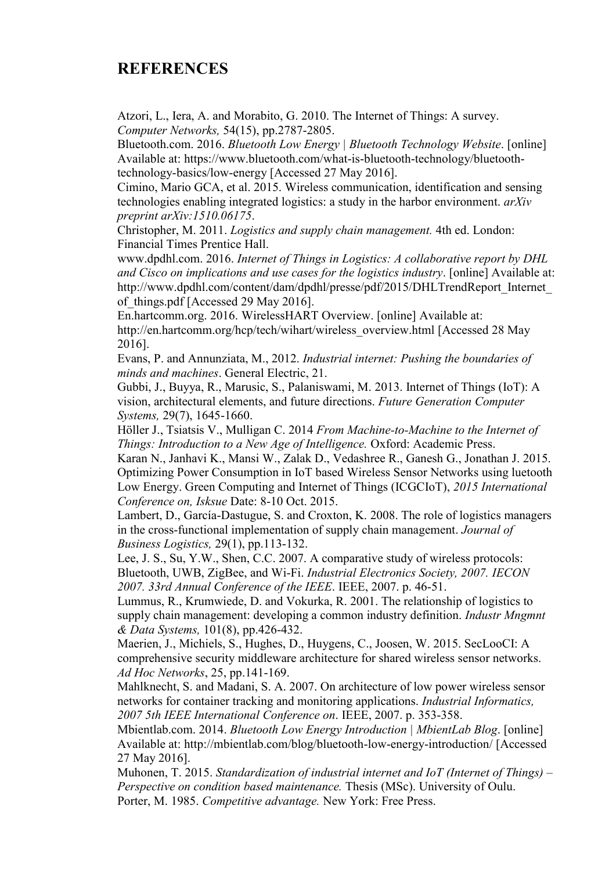# **REFERENCES**

Atzori, L., Iera, A. and Morabito, G. 2010. The Internet of Things: A survey. *Computer Networks,* 54(15), pp.2787-2805.

Bluetooth.com. 2016. *Bluetooth Low Energy | Bluetooth Technology Website*. [online] Available at: https://www.bluetooth.com/what-is-bluetooth-technology/bluetoothtechnology-basics/low-energy [Accessed 27 May 2016].

Cimino, Mario GCA, et al. 2015. Wireless communication, identification and sensing technologies enabling integrated logistics: a study in the harbor environment. *arXiv preprint arXiv:1510.06175*.

Christopher, M. 2011. *Logistics and supply chain management.* 4th ed. London: Financial Times Prentice Hall.

www.dpdhl.com. 2016. *Internet of Things in Logistics: A collaborative report by DHL and Cisco on implications and use cases for the logistics industry*. [online] Available at: http://www.dpdhl.com/content/dam/dpdhl/presse/pdf/2015/DHLTrendReport\_Internet\_ of things.pdf [Accessed 29 May 2016].

En.hartcomm.org. 2016. WirelessHART Overview. [online] Available at: http://en.hartcomm.org/hcp/tech/wihart/wireless\_overview.html [Accessed 28 May 2016].

Evans, P. and Annunziata, M., 2012. *Industrial internet: Pushing the boundaries of minds and machines*. General Electric, 21.

Gubbi, J., Buyya, R., Marusic, S., Palaniswami, M. 2013. Internet of Things (IoT): A vision, architectural elements, and future directions. *Future Generation Computer Systems,* 29(7), 1645-1660.

Höller J., Tsiatsis V., Mulligan C. 2014 *From Machine-to-Machine to the Internet of Things: Introduction to a New Age of Intelligence. Oxford: Academic Press.* 

Karan N., Janhavi K., Mansi W., Zalak D., Vedashree R., Ganesh G., Jonathan J. 2015. Optimizing Power Consumption in IoT based Wireless Sensor Networks using luetooth Low Energy. Green Computing and Internet of Things (ICGCIoT), *2015 International Conference on, Isksue* Date: 8-10 Oct. 2015.

Lambert, D., García-Dastugue, S. and Croxton, K. 2008. The role of logistics managers in the cross-functional implementation of supply chain management. *Journal of Business Logistics,* 29(1), pp.113-132.

Lee, J. S., Su, Y.W., Shen, C.C. 2007. A comparative study of wireless protocols: Bluetooth, UWB, ZigBee, and Wi-Fi. *Industrial Electronics Society, 2007. IECON 2007. 33rd Annual Conference of the IEEE*. IEEE, 2007. p. 46-51.

Lummus, R., Krumwiede, D. and Vokurka, R. 2001. The relationship of logistics to supply chain management: developing a common industry definition. *Industr Mngmnt & Data Systems,* 101(8), pp.426-432.

Maerien, J., Michiels, S., Hughes, D., Huygens, C., Joosen, W. 2015. SecLooCI: A comprehensive security middleware architecture for shared wireless sensor networks. *Ad Hoc Networks*, 25, pp.141-169.

Mahlknecht, S. and Madani, S. A. 2007. On architecture of low power wireless sensor networks for container tracking and monitoring applications. *Industrial Informatics, 2007 5th IEEE International Conference on*. IEEE, 2007. p. 353-358.

Mbientlab.com. 2014. *Bluetooth Low Energy Introduction | MbientLab Blog*. [online] Available at: http://mbientlab.com/blog/bluetooth-low-energy-introduction/ [Accessed 27 May 2016].

Muhonen, T. 2015. *Standardization of industrial internet and IoT (Internet of Things) – Perspective on condition based maintenance.* Thesis (MSc). University of Oulu. Porter, M. 1985. *Competitive advantage.* New York: Free Press.